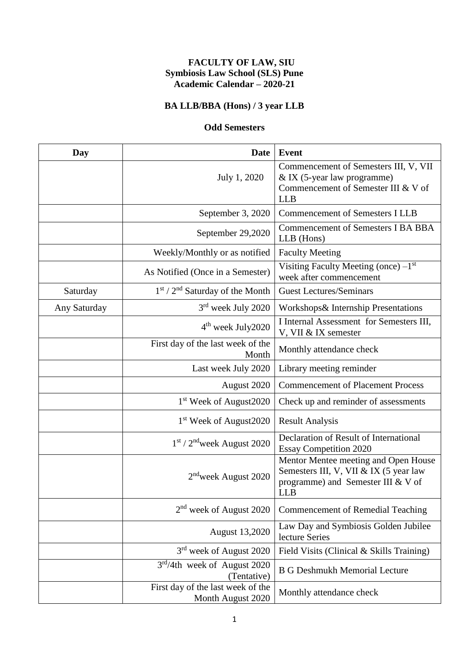#### **FACULTY OF LAW, SIU Symbiosis Law School (SLS) Pune Academic Calendar – 2020-21**

## **BA LLB/BBA (Hons) / 3 year LLB**

#### **Odd Semesters**

| Day          | <b>Date</b>                                            | <b>Event</b>                                                                                                                       |
|--------------|--------------------------------------------------------|------------------------------------------------------------------------------------------------------------------------------------|
|              | July 1, 2020                                           | Commencement of Semesters III, V, VII<br>& IX (5-year law programme)<br>Commencement of Semester III & V of<br><b>LLB</b>          |
|              | September 3, 2020                                      | <b>Commencement of Semesters I LLB</b>                                                                                             |
|              | September 29,2020                                      | <b>Commencement of Semesters I BA BBA</b><br>LLB (Hons)                                                                            |
|              | Weekly/Monthly or as notified                          | <b>Faculty Meeting</b>                                                                                                             |
|              | As Notified (Once in a Semester)                       | Visiting Faculty Meeting (once) $-1st$<br>week after commencement                                                                  |
| Saturday     | $1st / 2nd$ Saturday of the Month                      | <b>Guest Lectures/Seminars</b>                                                                                                     |
| Any Saturday | 3 <sup>rd</sup> week July 2020                         | Workshops & Internship Presentations                                                                                               |
|              | $4th$ week July2020                                    | I Internal Assessment for Semesters III,<br>V, VII & IX semester                                                                   |
|              | First day of the last week of the<br>Month             | Monthly attendance check                                                                                                           |
|              | Last week July 2020                                    | Library meeting reminder                                                                                                           |
|              | August 2020                                            | <b>Commencement of Placement Process</b>                                                                                           |
|              | 1 <sup>st</sup> Week of August2020                     | Check up and reminder of assessments                                                                                               |
|              | 1 <sup>st</sup> Week of August 2020                    | <b>Result Analysis</b>                                                                                                             |
|              | $1st / 2nd$ week August 2020                           | Declaration of Result of International<br><b>Essay Competition 2020</b>                                                            |
|              | $2nd$ week August 2020                                 | Mentor Mentee meeting and Open House<br>Semesters III, V, VII & IX (5 year law<br>programme) and Semester III & V of<br><b>LLB</b> |
|              | $2nd$ week of August 2020                              | <b>Commencement of Remedial Teaching</b>                                                                                           |
|              | August 13,2020                                         | Law Day and Symbiosis Golden Jubilee<br>lecture Series                                                                             |
|              | 3 <sup>rd</sup> week of August 2020                    | Field Visits (Clinical & Skills Training)                                                                                          |
|              | $3rd/4th$ week of August 2020<br>(Tentative)           | <b>B G Deshmukh Memorial Lecture</b>                                                                                               |
|              | First day of the last week of the<br>Month August 2020 | Monthly attendance check                                                                                                           |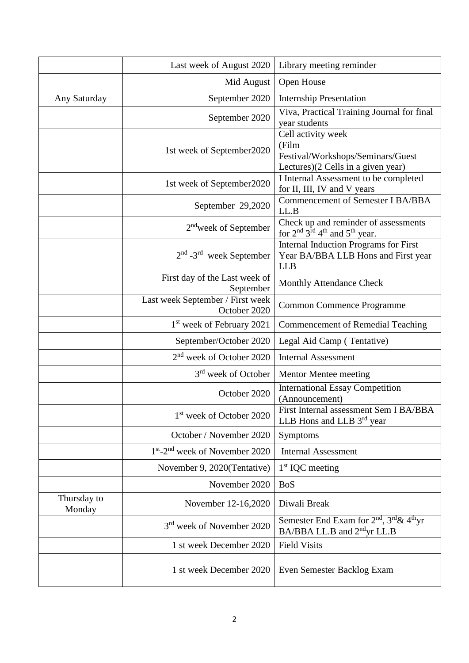|                       | Last week of August 2020                         | Library meeting reminder                                                                               |
|-----------------------|--------------------------------------------------|--------------------------------------------------------------------------------------------------------|
|                       | Mid August                                       | Open House                                                                                             |
| Any Saturday          | September 2020                                   | <b>Internship Presentation</b>                                                                         |
|                       | September 2020                                   | Viva, Practical Training Journal for final<br>year students                                            |
|                       | 1st week of September2020                        | Cell activity week<br>(Film<br>Festival/Workshops/Seminars/Guest<br>Lectures)(2 Cells in a given year) |
|                       | 1st week of September2020                        | I Internal Assessment to be completed<br>for II, III, IV and V years                                   |
|                       | September 29,2020                                | <b>Commencement of Semester I BA/BBA</b><br>LL.B                                                       |
|                       | $2nd$ week of September                          | Check up and reminder of assessments<br>for $2^{nd}$ $3^{rd}$ 4 <sup>th</sup> and $5^{th}$ year.       |
|                       | $2nd$ -3 <sup>rd</sup> week September            | Internal Induction Programs for First<br>Year BA/BBA LLB Hons and First year<br><b>LLB</b>             |
|                       | First day of the Last week of<br>September       | Monthly Attendance Check                                                                               |
|                       | Last week September / First week<br>October 2020 | Common Commence Programme                                                                              |
|                       | 1 <sup>st</sup> week of February 2021            | <b>Commencement of Remedial Teaching</b>                                                               |
|                       | September/October 2020                           | Legal Aid Camp (Tentative)                                                                             |
|                       | 2 <sup>nd</sup> week of October 2020             | <b>Internal Assessment</b>                                                                             |
|                       | 3 <sup>rd</sup> week of October                  | Mentor Mentee meeting                                                                                  |
|                       | October 2020                                     | <b>International Essay Competition</b><br>(Announcement)                                               |
|                       | 1 <sup>st</sup> week of October 2020             | First Internal assessment Sem I BA/BBA<br>LLB Hons and LLB 3 <sup>rd</sup> year                        |
|                       | October / November 2020                          | Symptoms                                                                                               |
|                       | $1st$ -2 <sup>nd</sup> week of November 2020     | <b>Internal Assessment</b>                                                                             |
|                       | November 9, 2020(Tentative)                      | $1st$ IQC meeting                                                                                      |
|                       | November 2020                                    | <b>BoS</b>                                                                                             |
| Thursday to<br>Monday | November 12-16,2020                              | Diwali Break                                                                                           |
|                       | 3rd week of November 2020                        | Semester End Exam for $2nd$ , $3rd$ & $4th$ yr<br>BA/BBA LL.B and 2 <sup>nd</sup> yr LL.B              |
|                       | 1 st week December 2020                          | <b>Field Visits</b>                                                                                    |
|                       | 1 st week December 2020                          | Even Semester Backlog Exam                                                                             |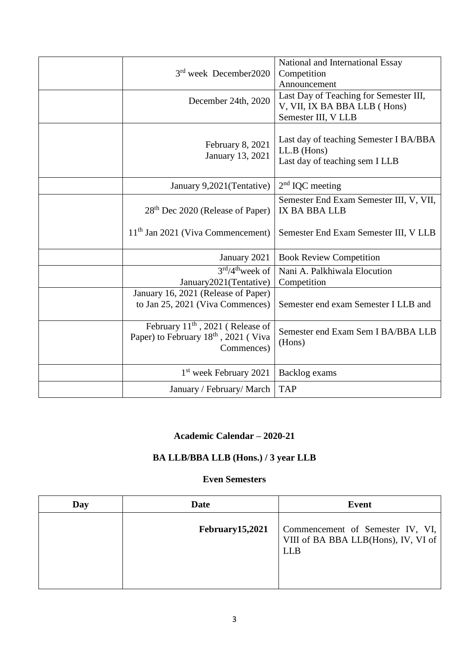| 3rd week December2020                                                                                          | National and International Essay<br>Competition<br>Announcement                               |
|----------------------------------------------------------------------------------------------------------------|-----------------------------------------------------------------------------------------------|
| December 24th, 2020                                                                                            | Last Day of Teaching for Semester III,<br>V, VII, IX BA BBA LLB (Hons)<br>Semester III, V LLB |
| February 8, 2021<br>January 13, 2021                                                                           | Last day of teaching Semester I BA/BBA<br>$LL.B$ (Hons)<br>Last day of teaching sem I LLB     |
| January 9,2021 (Tentative)                                                                                     | $2nd$ IQC meeting                                                                             |
| 28 <sup>th</sup> Dec 2020 (Release of Paper)                                                                   | Semester End Exam Semester III, V, VII,<br>IX BA BBA LLB                                      |
| $11th$ Jan 2021 (Viva Commencement)                                                                            | Semester End Exam Semester III, V LLB                                                         |
| January 2021                                                                                                   | <b>Book Review Competition</b>                                                                |
| $3rd/4th$ week of<br>January2021(Tentative)                                                                    | Nani A. Palkhiwala Elocution<br>Competition                                                   |
| January 16, 2021 (Release of Paper)<br>to Jan 25, 2021 (Viva Commences)                                        | Semester end exam Semester I LLB and                                                          |
| February 11 <sup>th</sup> , 2021 (Release of<br>Paper) to February 18 <sup>th</sup> , 2021 (Viva<br>Commences) | Semester end Exam Sem I BA/BBA LLB<br>(Hons)                                                  |
| 1 <sup>st</sup> week February 2021                                                                             | Backlog exams                                                                                 |
| January / February/ March                                                                                      | <b>TAP</b>                                                                                    |

## **Academic Calendar – 2020-21**

# **BA LLB/BBA LLB (Hons.) / 3 year LLB**

### **Even Semesters**

| Day | Date            | <b>Event</b>                                                                          |
|-----|-----------------|---------------------------------------------------------------------------------------|
|     | February15,2021 | Commencement of Semester IV, VI,<br>VIII of BA BBA LLB(Hons), IV, VI of<br><b>LLB</b> |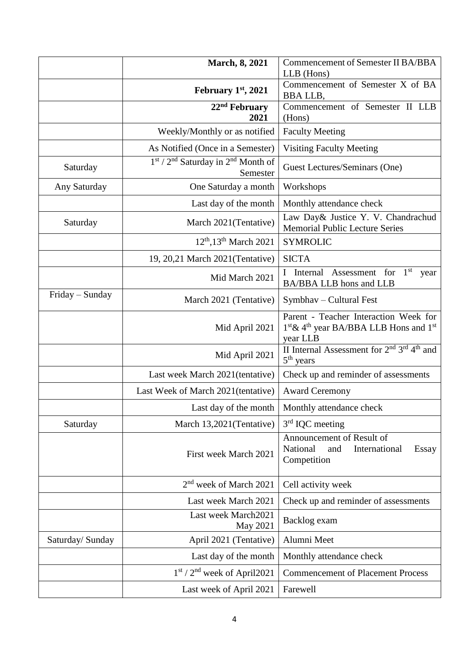|                  | March, 8, 2021                                     | <b>Commencement of Semester II BA/BBA</b><br>LLB (Hons)                                                                         |
|------------------|----------------------------------------------------|---------------------------------------------------------------------------------------------------------------------------------|
|                  | February $1st$ , 2021                              | Commencement of Semester X of BA<br><b>BBALLB,</b>                                                                              |
|                  | $22nd$ February<br>2021                            | Commencement of Semester II LLB<br>(Hons)                                                                                       |
|                  | Weekly/Monthly or as notified                      | <b>Faculty Meeting</b>                                                                                                          |
|                  | As Notified (Once in a Semester)                   | <b>Visiting Faculty Meeting</b>                                                                                                 |
| Saturday         | $1st / 2nd$ Saturday in $2nd$ Month of<br>Semester | Guest Lectures/Seminars (One)                                                                                                   |
| Any Saturday     | One Saturday a month                               | Workshops                                                                                                                       |
|                  | Last day of the month                              | Monthly attendance check                                                                                                        |
| Saturday         | March 2021(Tentative)                              | Law Day& Justice Y. V. Chandrachud<br><b>Memorial Public Lecture Series</b>                                                     |
|                  | $12^{th}$ , $13^{th}$ March 2021                   | <b>SYMROLIC</b>                                                                                                                 |
|                  | 19, 20,21 March 2021(Tentative)                    | <b>SICTA</b>                                                                                                                    |
|                  | Mid March 2021                                     | Assessment for 1 <sup>st</sup><br>I Internal<br>year<br>BA/BBA LLB hons and LLB                                                 |
| Friday – Sunday  | March 2021 (Tentative)                             | Symbhav - Cultural Fest                                                                                                         |
|                  | Mid April 2021                                     | Parent - Teacher Interaction Week for<br>1 <sup>st</sup> & 4 <sup>th</sup> year BA/BBA LLB Hons and 1 <sup>st</sup><br>year LLB |
|                  | Mid April 2021                                     | II Internal Assessment for $2nd 3rd 4th$ and<br>5 <sup>th</sup> years                                                           |
|                  | Last week March 2021 (tentative)                   | Check up and reminder of assessments                                                                                            |
|                  | Last Week of March 2021 (tentative)                | <b>Award Ceremony</b>                                                                                                           |
|                  | Last day of the month                              | Monthly attendance check                                                                                                        |
| Saturday         | March 13,2021 (Tentative)                          | $3rd$ IQC meeting                                                                                                               |
|                  | First week March 2021                              | Announcement of Result of<br>National<br>International<br>and<br>Essay<br>Competition                                           |
|                  | 2 <sup>nd</sup> week of March 2021                 | Cell activity week                                                                                                              |
|                  | Last week March 2021                               | Check up and reminder of assessments                                                                                            |
|                  | Last week March2021<br>May 2021                    | Backlog exam                                                                                                                    |
| Saturday/ Sunday | April 2021 (Tentative)                             | Alumni Meet                                                                                                                     |
|                  | Last day of the month                              | Monthly attendance check                                                                                                        |
|                  | $1st / 2nd$ week of April2021                      | <b>Commencement of Placement Process</b>                                                                                        |
|                  | Last week of April 2021                            | Farewell                                                                                                                        |